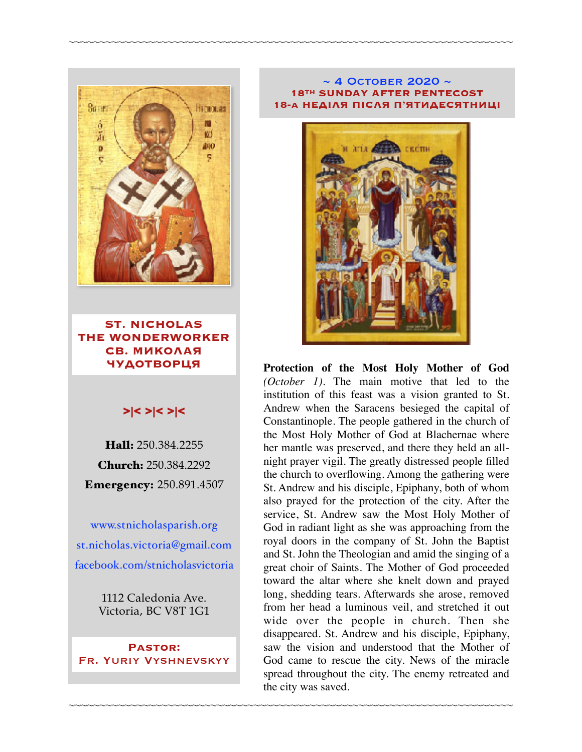

**ST. NICHOLAS THE WONDERWORKER СВ. МИКОЛАЯ ЧУДОТВОРЦЯ**

## >|< >|< >|<

Hall: 250.384.2255 Church: 250.384.2292 Emergency: 250.891.4507

[www.stnicholasparish.org](http://www.stnicholasparish.org) [st.nicholas.victoria@gmail.com](mailto:st.nicholas.victoria@gmail.com) [facebook.com/stnicholasvictoria](http://facebook.com/stnicholasvictoria)

> 1112 Caledonia Ave. Victoria, BC V8T 1G1

**Pastor:**  Fr. Yuriy Vyshnevskyy

#### $\sim$  4 OCTOBER 2020  $\sim$ **18TH SUNDAY AFTER PENTECOST 18-а НЕДІЛЯ ПІСЛЯ П'ЯТИДЕСЯТНИЦІ**

~~~~~~~~~~~~~~~~~~~~~~~~~~~~~~~~~~~~~~~~~~~~~~~~~~~~~~~~~~~~~~~~~~~~~~~~



**Protection of the Most Holy Mother of God** *(October 1)*. The main motive that led to the institution of this feast was a vision granted to St. Andrew when the Saracens besieged the capital of Constantinople. The people gathered in the church of the Most Holy Mother of God at Blachernae where her mantle was preserved, and there they held an allnight prayer vigil. The greatly distressed people filled the church to overflowing. Among the gathering were St. Andrew and his disciple, Epiphany, both of whom also prayed for the protection of the city. After the service, St. Andrew saw the Most Holy Mother of God in radiant light as she was approaching from the royal doors in the company of St. John the Baptist and St. John the Theologian and amid the singing of a great choir of Saints. The Mother of God proceeded toward the altar where she knelt down and prayed long, shedding tears. Afterwards she arose, removed from her head a luminous veil, and stretched it out wide over the people in church. Then she disappeared. St. Andrew and his disciple, Epiphany, saw the vision and understood that the Mother of God came to rescue the city. News of the miracle spread throughout the city. The enemy retreated and the city was saved.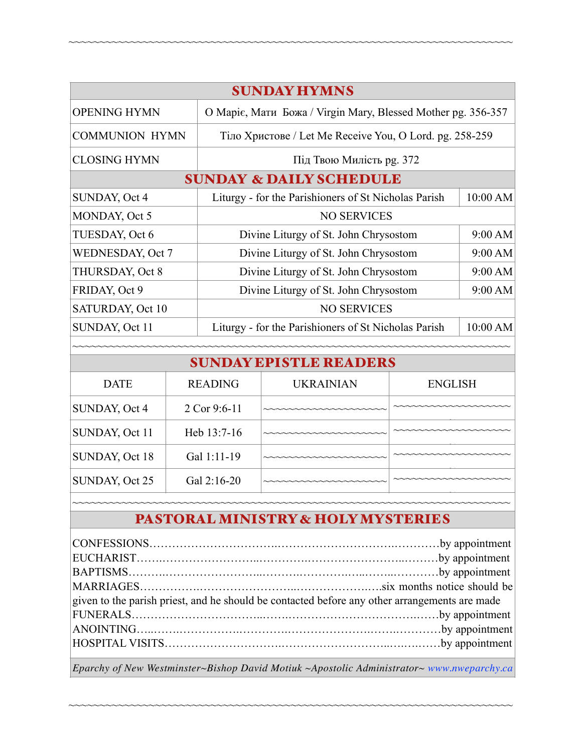| <b>SUNDAY HYMNS</b>                |                |                                                              |                  |                |          |  |  |
|------------------------------------|----------------|--------------------------------------------------------------|------------------|----------------|----------|--|--|
| <b>OPENING HYMN</b>                |                | О Маріє, Мати Божа / Virgin Mary, Blessed Mother pg. 356-357 |                  |                |          |  |  |
| <b>COMMUNION HYMN</b>              |                | Тіло Христове / Let Me Receive You, O Lord. pg. 258-259      |                  |                |          |  |  |
| <b>CLOSING HYMN</b>                |                | Під Твою Милість рд. 372                                     |                  |                |          |  |  |
| <b>SUNDAY &amp; DAILY SCHEDULE</b> |                |                                                              |                  |                |          |  |  |
| SUNDAY, Oct 4                      |                | Liturgy - for the Parishioners of St Nicholas Parish         |                  |                | 10:00 AM |  |  |
| MONDAY, Oct 5                      |                | <b>NO SERVICES</b>                                           |                  |                |          |  |  |
| TUESDAY, Oct 6                     |                | Divine Liturgy of St. John Chrysostom                        |                  |                | 9:00 AM  |  |  |
| WEDNESDAY, Oct 7                   |                | Divine Liturgy of St. John Chrysostom                        |                  |                | 9:00 AM  |  |  |
| THURSDAY, Oct 8                    |                | Divine Liturgy of St. John Chrysostom                        |                  |                | 9:00 AM  |  |  |
| FRIDAY, Oct 9                      |                | Divine Liturgy of St. John Chrysostom                        |                  |                | 9:00 AM  |  |  |
| <b>SATURDAY, Oct 10</b>            |                | <b>NO SERVICES</b>                                           |                  |                |          |  |  |
| SUNDAY, Oct 11                     |                | Liturgy - for the Parishioners of St Nicholas Parish         |                  |                | 10:00 AM |  |  |
|                                    |                |                                                              |                  |                |          |  |  |
| <b>SUNDAY EPISTLE READERS</b>      |                |                                                              |                  |                |          |  |  |
| <b>DATE</b>                        | <b>READING</b> |                                                              | <b>UKRAINIAN</b> | <b>ENGLISH</b> |          |  |  |
| SUNDAY, Oct 4                      |                | 2 Cor 9:6-11                                                 |                  |                |          |  |  |
| SUNDAY, Oct 11                     | Heb 13:7-16    |                                                              |                  |                |          |  |  |

~~~~~~~~~~~~~~~~~~~~~~~~~~~~~~~~~~~~~~~~~~~~~~~~~~~~~~~~~~~~~~~~~~~~~~~~

# <sup>~</sup> PASTORAL MINISTRY & HOLY MYSTERIES

<sup>~</sup> ~~~~~~~~~~~~~~~~~~~~~~~~~~~~~~~~~~~~~~~~~~~~~~~~~~~~~~~~~~~~~~~~~~~~~~~

 $\text{SUNDAY}, \text{Oct } 18 \quad \text{Gal } 1:11-19$ 

 $SUNDAY, Oct 25$   $Ga1 2:16-20$ 

~

~

| given to the parish priest, and he should be contacted before any other arrangements are made |  |
|-----------------------------------------------------------------------------------------------|--|
|                                                                                               |  |
|                                                                                               |  |
|                                                                                               |  |
|                                                                                               |  |

*Eparchy of New Westminster~Bishop David Motiuk ~Apostolic Administrator~ [www.nweparchy.ca](http://www.nweparchy.ca)*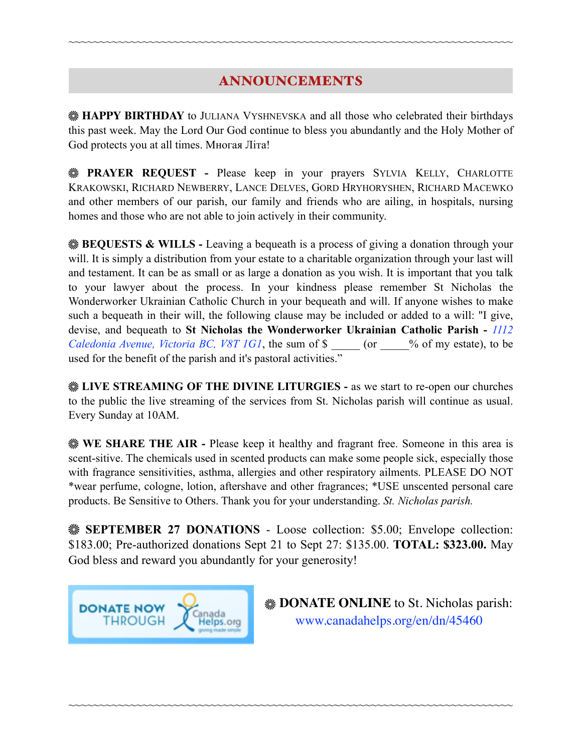# ANNOUNCEMENTS

~~~~~~~~~~~~~~~~~~~~~~~~~~~~~~~~~~~~~~~~~~~~~~~~~~~~~~~~~~~~~~~~~~~~~~~~

**HAPPY BIRTHDAY** to JULIANA VYSHNEVSKA and all those who celebrated their birthdays this past week. May the Lord Our God continue to bless you abundantly and the Holy Mother of God protects you at all times. Многая Літа!

**PRAYER REQUEST -** Please keep in your prayers SYLVIA KELLY, CHARLOTTE KRAKOWSKI, RICHARD NEWBERRY, LANCE DELVES, GORD HRYHORYSHEN, RICHARD MACEWKO and other members of our parish, our family and friends who are ailing, in hospitals, nursing homes and those who are not able to join actively in their community.

**BEQUESTS & WILLS -** Leaving a bequeath is a process of giving a donation through your will. It is simply a distribution from your estate to a charitable organization through your last will and testament. It can be as small or as large a donation as you wish. It is important that you talk to your lawyer about the process. In your kindness please remember St Nicholas the Wonderworker Ukrainian Catholic Church in your bequeath and will. If anyone wishes to make such a bequeath in their will, the following clause may be included or added to a will: "I give, devise, and bequeath to **St Nicholas the Wonderworker Ukrainian Catholic Parish -** *1112 Caledonia Avenue, Victoria BC, V8T 1G1*, the sum of \$  $\degree$  (or  $\degree$  % of my estate), to be used for the benefit of the parish and it's pastoral activities."

**LIVE STREAMING OF THE DIVINE LITURGIES -** as we start to re-open our churches to the public the live streaming of the services from St. Nicholas parish will continue as usual. Every Sunday at 10AM.

**WE SHARE THE AIR - Please keep it healthy and fragrant free. Someone in this area is** scent-sitive. The chemicals used in scented products can make some people sick, especially those with fragrance sensitivities, asthma, allergies and other respiratory ailments. PLEASE DO NOT \*wear perfume, cologne, lotion, aftershave and other fragrances; \*USE unscented personal care products. Be Sensitive to Others. Thank you for your understanding. *St. Nicholas parish.* 

**SEPTEMBER 27 DONATIONS - Loose collection: \$5.00; Envelope collection:** \$183.00; Pre-authorized donations Sept 21 to Sept 27: \$135.00. **TOTAL: \$323.00.** May God bless and reward you abundantly for your generosity!

~~~~~~~~~~~~~~~~~~~~~~~~~~~~~~~~~~~~~~~~~~~~~~~~~~~~~~~~~~~~~~~~~~~~~~~~



**EXAMPLE ONLINE** to St. Nicholas parish: [www.canadahelps.org/en/dn/45460](http://www.canadahelps.org/en/dn/45460)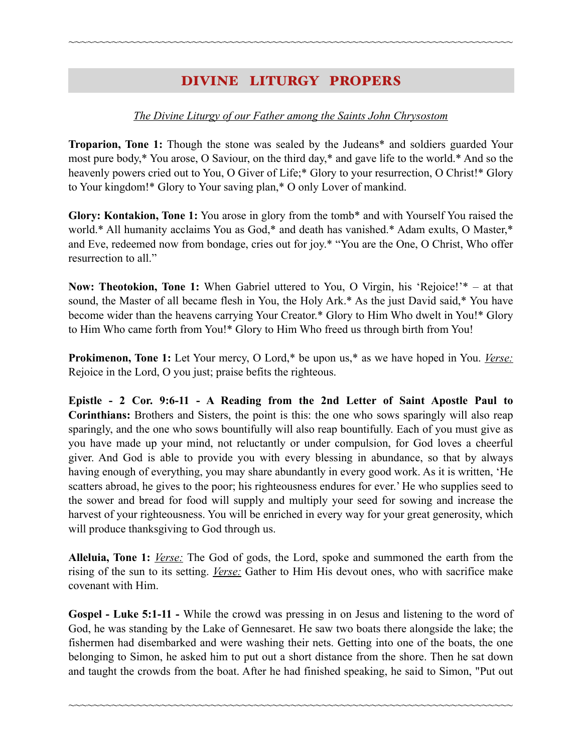# DIVINE LITURGY PROPERS

~~~~~~~~~~~~~~~~~~~~~~~~~~~~~~~~~~~~~~~~~~~~~~~~~~~~~~~~~~~~~~~~~~~~~~~~

### *The Divine Liturgy of our Father among the Saints John Chrysostom*

**Troparion, Tone 1:** Though the stone was sealed by the Judeans\* and soldiers guarded Your most pure body,\* You arose, O Saviour, on the third day,\* and gave life to the world.\* And so the heavenly powers cried out to You, O Giver of Life;\* Glory to your resurrection, O Christ!\* Glory to Your kingdom!\* Glory to Your saving plan,\* O only Lover of mankind.

**Glory: Kontakion, Tone 1:** You arose in glory from the tomb\* and with Yourself You raised the world.\* All humanity acclaims You as God,\* and death has vanished.\* Adam exults, O Master,\* and Eve, redeemed now from bondage, cries out for joy.\* "You are the One, O Christ, Who offer resurrection to all."

**Now: Theotokion, Tone 1:** When Gabriel uttered to You, O Virgin, his 'Rejoice!'\* – at that sound, the Master of all became flesh in You, the Holy Ark.\* As the just David said,\* You have become wider than the heavens carrying Your Creator.\* Glory to Him Who dwelt in You!\* Glory to Him Who came forth from You!\* Glory to Him Who freed us through birth from You!

**Prokimenon, Tone 1:** Let Your mercy, O Lord,\* be upon us,\* as we have hoped in You. *Verse:* Rejoice in the Lord, O you just; praise befits the righteous.

**Epistle - 2 Cor. 9:6-11 - A Reading from the 2nd Letter of Saint Apostle Paul to Corinthians:** Brothers and Sisters, the point is this: the one who sows sparingly will also reap sparingly, and the one who sows bountifully will also reap bountifully. Each of you must give as you have made up your mind, not reluctantly or under compulsion, for God loves a cheerful giver. And God is able to provide you with every blessing in abundance, so that by always having enough of everything, you may share abundantly in every good work. As it is written, 'He scatters abroad, he gives to the poor; his righteousness endures for ever.' He who supplies seed to the sower and bread for food will supply and multiply your seed for sowing and increase the harvest of your righteousness. You will be enriched in every way for your great generosity, which will produce thanksgiving to God through us.

**Alleluia, Tone 1:** *Verse:* The God of gods, the Lord, spoke and summoned the earth from the rising of the sun to its setting. *Verse:* Gather to Him His devout ones, who with sacrifice make covenant with Him.

**Gospel - Luke 5:1-11 -** While the crowd was pressing in on Jesus and listening to the word of God, he was standing by the Lake of Gennesaret. He saw two boats there alongside the lake; the fishermen had disembarked and were washing their nets. Getting into one of the boats, the one belonging to Simon, he asked him to put out a short distance from the shore. Then he sat down and taught the crowds from the boat. After he had finished speaking, he said to Simon, "Put out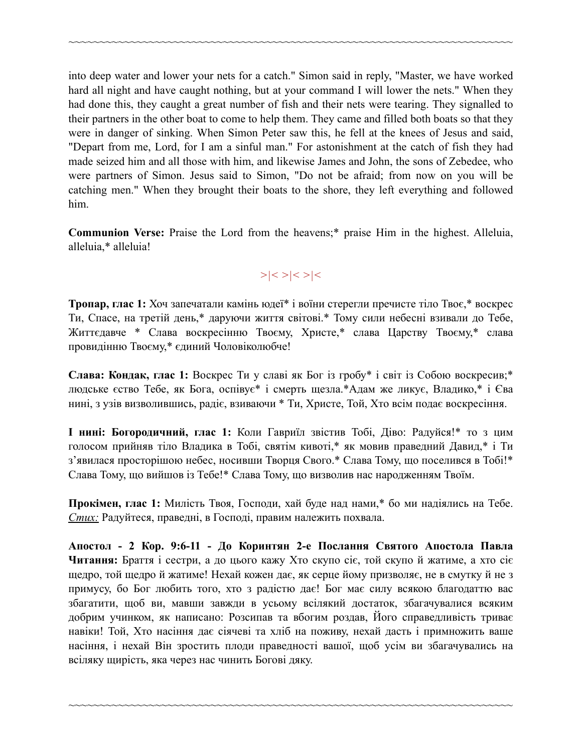into deep water and lower your nets for a catch." Simon said in reply, "Master, we have worked hard all night and have caught nothing, but at your command I will lower the nets." When they had done this, they caught a great number of fish and their nets were tearing. They signalled to their partners in the other boat to come to help them. They came and filled both boats so that they were in danger of sinking. When Simon Peter saw this, he fell at the knees of Jesus and said, "Depart from me, Lord, for I am a sinful man." For astonishment at the catch of fish they had made seized him and all those with him, and likewise James and John, the sons of Zebedee, who were partners of Simon. Jesus said to Simon, "Do not be afraid; from now on you will be catching men." When they brought their boats to the shore, they left everything and followed him.

~~~~~~~~~~~~~~~~~~~~~~~~~~~~~~~~~~~~~~~~~~~~~~~~~~~~~~~~~~~~~~~~~~~~~~~~

**Communion Verse:** Praise the Lord from the heavens;\* praise Him in the highest. Alleluia, alleluia,\* alleluia!

# *>|< >|< >|<*

**Тропар, глас 1:** Хоч запечатали камінь юдеї\* і воїни стерегли пречисте тіло Твоє,\* воскрес Ти, Спасе, на третій день,\* даруючи життя світові.\* Тому сили небесні взивали до Тебе, Життєдавче \* Слава воскресінню Твоєму, Христе,\* слава Царству Твоєму,\* слава провидінню Твоєму,\* єдиний Чоловіколюбче!

**Слава: Кондак, глас 1:** Воскрес Ти у славі як Бог із гробу\* і світ із Собою воскресив;\* людське єство Тебе, як Бога, оспівує\* і смерть щезла.\*Адам же ликує, Владико,\* і Єва нині, з узів визволившись, радіє, взиваючи \* Ти, Христе, Той, Хто всім подає воскресіння.

**І нині: Богородичний, глас 1:** Коли Гавриїл звістив Тобі, Діво: Радуйся!\* то з цим голосом прийняв тіло Владика в Тобі, святім кивоті,\* як мовив праведний Давид,\* і Ти з'явилася просторішою небес, носивши Творця Свого.\* Слава Тому, що поселився в Тобі!\* Слава Тому, що вийшов із Тебе!\* Слава Тому, що визволив нас народженням Твоїм.

**Прокімен, глас 1:** Милість Твоя, Господи, хай буде над нами,\* бо ми надіялись на Тебе. *Стих:* Радуйтеся, праведні, в Господі, правим належить похвала.

**Апостол - 2 Кор. 9:6-11 - До Коринтян 2-е Послання Святого Апостола Павла Читання:** Браття і сестри, а до цього кажу Хто скупо сіє, той скупо й жатиме, а хто сіє щедро, той щедро й жатиме! Нехай кожен дає, як серце йому призволяє, не в смутку й не з примусу, бо Бог любить того, хто з радістю дає! Бог має силу всякою благодаттю вас збагатити, щоб ви, мавши завжди в усьому всілякий достаток, збагачувалися всяким добрим учинком, як написано: Розсипав та вбогим роздав, Його справедливість триває навіки! Той, Хто насіння дає сіячеві та хліб на поживу, нехай дасть і примножить ваше насіння, і нехай Він зростить плоди праведності вашої, щоб усім ви збагачувались на всіляку щирість, яка через нас чинить Богові дяку.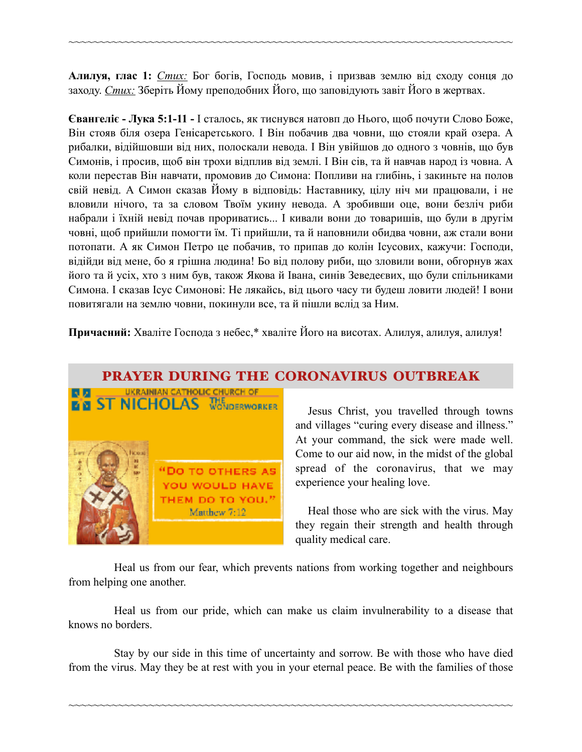**Алилуя, глас 1:** *Стих:* Бог богів, Господь мовив, і призвав землю від сходу сонця до заходу. *Стих:* Зберіть Йому преподобних Його, що заповідують завіт Його в жертвах.

~~~~~~~~~~~~~~~~~~~~~~~~~~~~~~~~~~~~~~~~~~~~~~~~~~~~~~~~~~~~~~~~~~~~~~~~

**Євангеліє - Лука 5:1-11 -** І сталось, як тиснувся натовп до Нього, щоб почути Слово Боже, Він стояв біля озера Генісаретського. І Він побачив два човни, що стояли край озера. А рибалки, відійшовши від них, полоскали невода. І Він увійшов до одного з човнів, що був Симонів, і просив, щоб він трохи відплив від землі. І Він сів, та й навчав народ із човна. А коли перестав Він навчати, промовив до Симона: Попливи на глибінь, і закиньте на полов свій невід. А Симон сказав Йому в відповідь: Наставнику, цілу ніч ми працювали, і не вловили нічого, та за словом Твоїм укину невода. А зробивши оце, вони безліч риби набрали і їхній невід почав прориватись... І кивали вони до товаришів, що були в другім човні, щоб прийшли помогти їм. Ті прийшли, та й наповнили обидва човни, аж стали вони потопати. А як Симон Петро це побачив, то припав до колін Ісусових, кажучи: Господи, відійди від мене, бо я грішна людина! Бо від полову риби, що зловили вони, обгорнув жах його та й усіх, хто з ним був, також Якова й Івана, синів Зеведеєвих, що були спільниками Симона. І сказав Ісус Симонові: Не лякайсь, від цього часу ти будеш ловити людей! І вони повитягали на землю човни, покинули все, та й пішли вслід за Ним.

**Причасний:** Хваліте Господа з небес,\* хваліте Його на висотах. Алилуя, алилуя, алилуя!

## PRAYER DURING THE CORONAVIRUS OUTBREAK



Jesus Christ, you travelled through towns and villages "curing every disease and illness." At your command, the sick were made well. Come to our aid now, in the midst of the global spread of the coronavirus, that we may experience your healing love.

 Heal those who are sick with the virus. May they regain their strength and health through quality medical care.

Heal us from our fear, which prevents nations from working together and neighbours from helping one another.

Heal us from our pride, which can make us claim invulnerability to a disease that knows no borders.

Stay by our side in this time of uncertainty and sorrow. Be with those who have died from the virus. May they be at rest with you in your eternal peace. Be with the families of those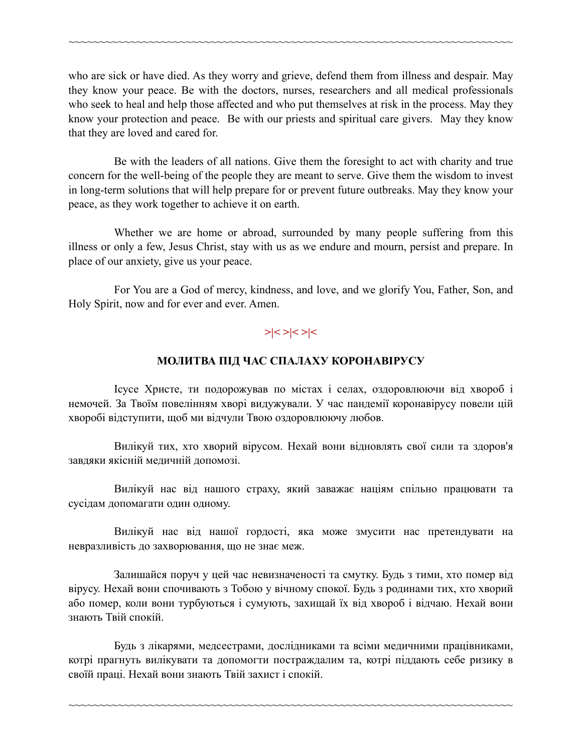who are sick or have died. As they worry and grieve, defend them from illness and despair. May they know your peace. Be with the doctors, nurses, researchers and all medical professionals who seek to heal and help those affected and who put themselves at risk in the process. May they know your protection and peace. Be with our priests and spiritual care givers. May they know that they are loved and cared for.

~~~~~~~~~~~~~~~~~~~~~~~~~~~~~~~~~~~~~~~~~~~~~~~~~~~~~~~~~~~~~~~~~~~~~~~~

Be with the leaders of all nations. Give them the foresight to act with charity and true concern for the well-being of the people they are meant to serve. Give them the wisdom to invest in long-term solutions that will help prepare for or prevent future outbreaks. May they know your peace, as they work together to achieve it on earth.

Whether we are home or abroad, surrounded by many people suffering from this illness or only a few, Jesus Christ, stay with us as we endure and mourn, persist and prepare. In place of our anxiety, give us your peace.

For You are a God of mercy, kindness, and love, and we glorify You, Father, Son, and Holy Spirit, now and for ever and ever. Amen.

## **>|< >|< >|<**

### **МОЛИТВА ПІД ЧАС СПАЛАХУ КОРОНАВІРУСУ**

Ісусе Христе, ти подорожував по містах і селах, оздоровлюючи від хвороб і немочей. За Твоїм повелінням хворі видужували. У час пандемії коронавірусу повели цій хворобі відступити, щоб ми відчули Твою оздоровлюючу любов.

Вилікуй тих, хто хворий вірусом. Нехай вони відновлять свої сили та здоров'я завдяки якісній медичній допомозі.

Вилікуй нас від нашого страху, який заважає націям спільно працювати та сусідам допомагати один одному.

Вилікуй нас від нашої гордості, яка може змусити нас претендувати на невразливість до захворювання, що не знає меж.

Залишайся поруч у цей час невизначеності та смутку. Будь з тими, хто помер від вірусу. Нехай вони спочивають з Тобою у вічному спокої. Будь з родинами тих, хто хворий або помер, коли вони турбуються і сумують, захищай їх від хвороб і відчаю. Нехай вони знають Твій спокій.

Будь з лікарями, медсестрами, дослідниками та всіми медичними працівниками, котрі прагнуть вилікувати та допомогти постраждалим та, котрі піддають себе ризику в своїй праці. Нехай вони знають Твій захист і спокій.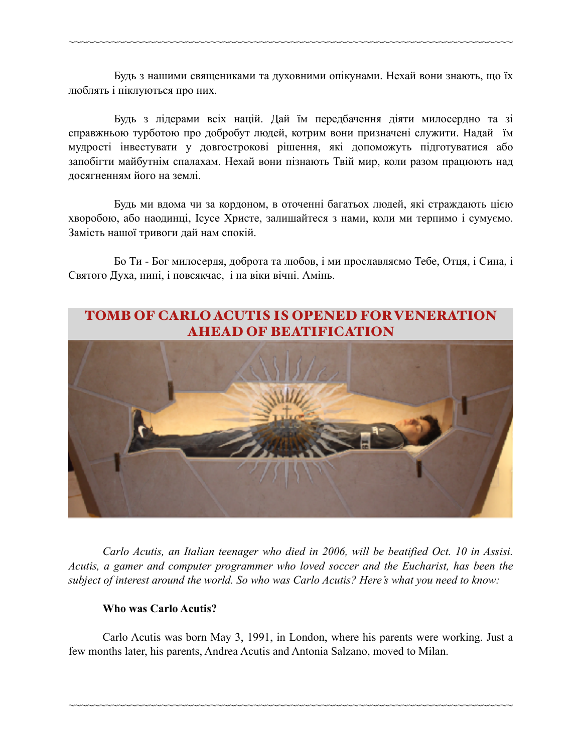Будь з нашими священиками та духовними опікунами. Нехай вони знають, що їх люблять і піклуються про них.

~~~~~~~~~~~~~~~~~~~~~~~~~~~~~~~~~~~~~~~~~~~~~~~~~~~~~~~~~~~~~~~~~~~~~~~~

Будь з лідерами всіх націй. Дай їм передбачення діяти милосердно та зі справжньою турботою про добробут людей, котрим вони призначені служити. Надай їм мудрості інвестувати у довгострокові рішення, які допоможуть підготуватися або запобігти майбутнім спалахам. Нехай вони пізнають Твій мир, коли разом працюють над досягненням його на землі.

Будь ми вдома чи за кордоном, в оточенні багатьох людей, які страждають цією хворобою, або наодинці, Ісусе Христе, залишайтеся з нами, коли ми терпимо і сумуємо. Замість нашої тривоги дай нам спокій.

Бо Ти - Бог милосердя, доброта та любов, і ми прославляємо Тебе, Отця, і Сина, і Святого Духа, нині, і повсякчас, і на віки вічні. Амінь.



 *Carlo Acutis, an Italian teenager who died in 2006, will be beatified Oct. 10 in Assisi. Acutis, a gamer and computer programmer who loved soccer and the Eucharist, has been the subject of interest around the world. So who was Carlo Acutis? Here's what you need to know:* 

### **Who was Carlo Acutis?**

 Carlo Acutis was born May 3, 1991, in London, where his parents were working. Just a few months later, his parents, Andrea Acutis and Antonia Salzano, moved to Milan.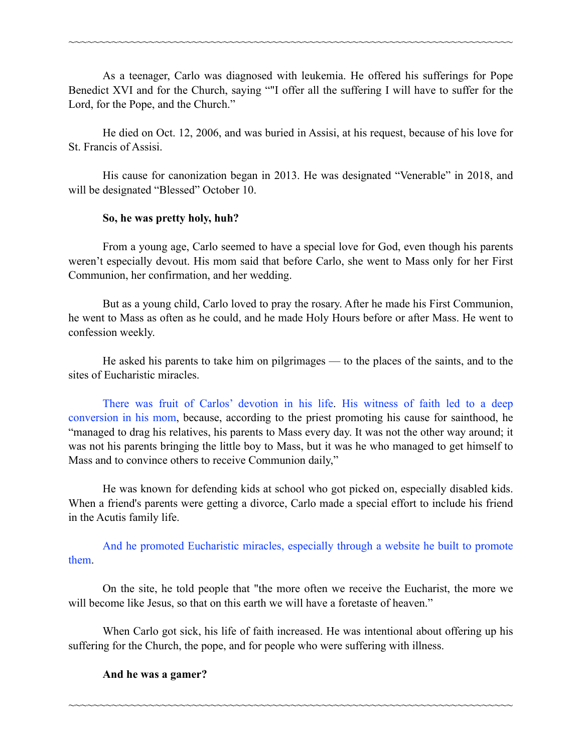As a teenager, Carlo was diagnosed with leukemia. He offered his sufferings for Pope Benedict XVI and for the Church, saying ""I offer all the suffering I will have to suffer for the Lord, for the Pope, and the Church."

~~~~~~~~~~~~~~~~~~~~~~~~~~~~~~~~~~~~~~~~~~~~~~~~~~~~~~~~~~~~~~~~~~~~~~~~

 He died on Oct. 12, 2006, and was buried in Assisi, at his request, because of his love for St. Francis of Assisi.

 His cause for canonization began in 2013. He was designated "Venerable" in 2018, and will be designated "Blessed" October 10.

### **So, he was pretty holy, huh?**

 From a young age, Carlo seemed to have a special love for God, even though his parents weren't especially devout. His mom said that before Carlo, she went to Mass only for her First Communion, her confirmation, and her wedding.

 But as a young child, Carlo loved to pray the rosary. After he made his First Communion, he went to Mass as often as he could, and he made Holy Hours before or after Mass. He went to confession weekly.

 He asked his parents to take him on pilgrimages — to the places of the saints, and to the sites of Eucharistic miracles.

[There was fruit of Carlos' devotion in his life.](https://soundcloud.com/cnanewsroom/ep-23-i-raised-a-saint) [His witness of faith led to a deep](https://www.catholicnewsagency.com/news/mom-of-carlo-acutis-says-son-led-her-back-to-the-catholic-faith-34118)  [conversion in his mom](https://www.catholicnewsagency.com/news/mom-of-carlo-acutis-says-son-led-her-back-to-the-catholic-faith-34118), because, according to the priest promoting his cause for sainthood, he "managed to drag his relatives, his parents to Mass every day. It was not the other way around; it was not his parents bringing the little boy to Mass, but it was he who managed to get himself to Mass and to convince others to receive Communion daily,"

 He was known for defending kids at school who got picked on, especially disabled kids. When a friend's parents were getting a divorce, Carlo made a special effort to include his friend in the Acutis family life.

[And he promoted Eucharistic miracles, especially through a website he built to promote](https://www.catholicnewsagency.com/news/venerable-carlo-acutis-and-his-love-for-the-eucharist-59738)  [them.](https://www.catholicnewsagency.com/news/venerable-carlo-acutis-and-his-love-for-the-eucharist-59738)

 On the site, he told people that "the more often we receive the Eucharist, the more we will become like Jesus, so that on this earth we will have a foretaste of heaven."

 When Carlo got sick, his life of faith increased. He was intentional about offering up his suffering for the Church, the pope, and for people who were suffering with illness.

~~~~~~~~~~~~~~~~~~~~~~~~~~~~~~~~~~~~~~~~~~~~~~~~~~~~~~~~~~~~~~~~~~~~~~~~

**And he was a gamer?**